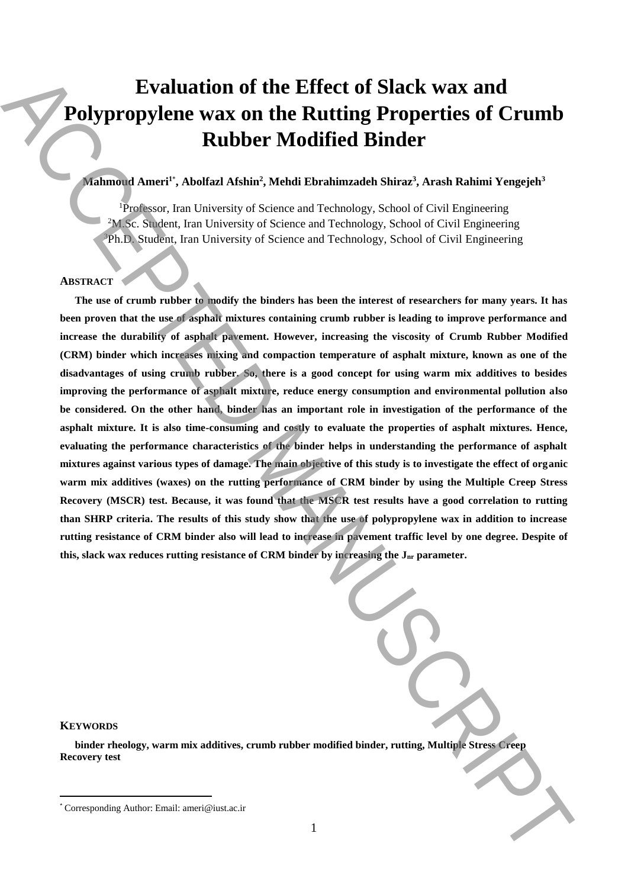# **Evaluation of the Effect of Slack wax and Polypropylene wax on the Rutting Properties of Crumb Rubber Modified Binder**

## **Mahmoud Ameri<sup>1</sup>**\* **, Abolfazl Afshin<sup>2</sup> , Mehdi Ebrahimzadeh Shiraz<sup>3</sup> , Arash Rahimi Yengejeh<sup>3</sup>**

<sup>1</sup>Professor, Iran University of Science and Technology, School of Civil Engineering <sup>2</sup>M.Sc. Student, Iran University of Science and Technology, School of Civil Engineering <sup>3</sup>Ph.D. Student, Iran University of Science and Technology, School of Civil Engineering

## **ABSTRACT**

**The use of crumb rubber to modify the binders has been the interest of researchers for many years. It has been proven that the use of asphalt mixtures containing crumb rubber is leading to improve performance and increase the durability of asphalt pavement. However, increasing the viscosity of Crumb Rubber Modified (CRM) binder which increases mixing and compaction temperature of asphalt mixture, known as one of the disadvantages of using crumb rubber. So, there is a good concept for using warm mix additives to besides improving the performance of asphalt mixture, reduce energy consumption and environmental pollution also be considered. On the other hand, binder has an important role in investigation of the performance of the asphalt mixture. It is also time-consuming and costly to evaluate the properties of asphalt mixtures. Hence, evaluating the performance characteristics of the binder helps in understanding the performance of asphalt mixtures against various types of damage. The main objective of this study is to investigate the effect of organic warm mix additives (waxes) on the rutting performance of CRM binder by using the Multiple Creep Stress Recovery (MSCR) test. Because, it was found that the MSCR test results have a good correlation to rutting than SHRP criteria. The results of this study show that the use of polypropylene wax in addition to increase rutting resistance of CRM binder also will lead to increase in pavement traffic level by one degree. Despite of this, slack wax reduces rutting resistance of CRM binder by increasing the Jnr parameter. Evaluation of the Effect of Slack wax and<br>
Polypropylene wax on the Rutting Properties of Crumb<br>
Rubber Modifical Binder<br>
Rubber Modifical Binder<br>
Rubber Modifical Binder<br> \frac{m\_{\text{total}}}{m\_{\text{total}}}\frac{m\_{\text{total}}}{m\_{\text{total}}}\frac{m\_{\text{total}}}{** 

**KEYWORDS**

 $\overline{a}$ 

**binder rheology, warm mix additives, crumb rubber modified binder, rutting, Multiple Stress Creep Recovery test**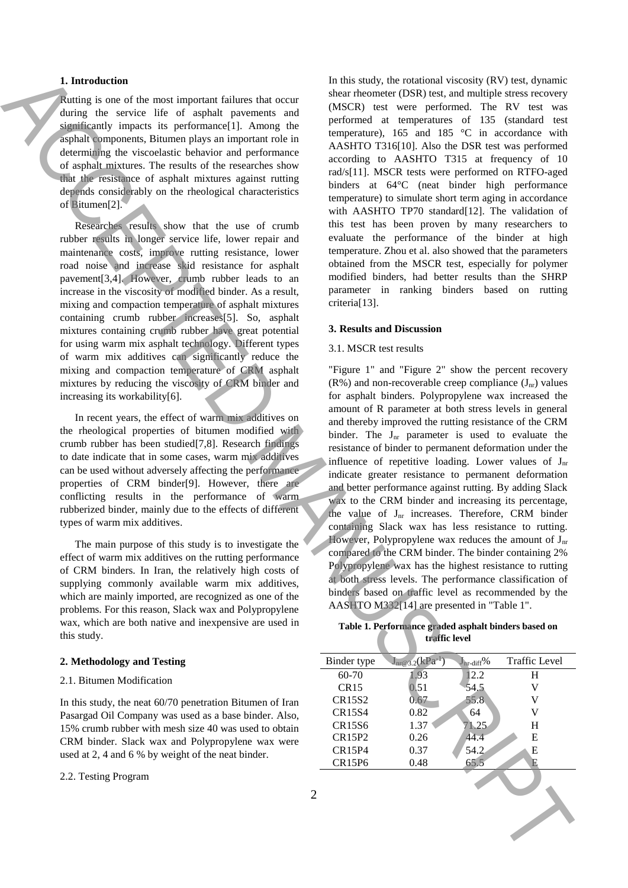### **1. Introduction**

Rutting is one of the most important failures that occur during the service life of asphalt pavements and significantly impacts its performance<sup>[1]</sup>. Among the asphalt components, Bitumen plays an important role in determining the viscoelastic behavior and performance of asphalt mixtures. The results of the researches show that the resistance of asphalt mixtures against rutting depends considerably on the rheological characteristics of Bitumen[2].

Researches results show that the use of crumb rubber results in longer service life, lower repair and maintenance costs, improve rutting resistance, lower road noise and increase skid resistance for asphalt pavement[3,4]. However, crumb rubber leads to an increase in the viscosity of modified binder. As a result, mixing and compaction temperature of asphalt mixtures containing crumb rubber increases[5]. So, asphalt mixtures containing crumb rubber have great potential for using warm mix asphalt technology. Different types of warm mix additives can significantly reduce the mixing and compaction temperature of CRM asphalt mixtures by reducing the viscosity of CRM binder and increasing its workability[6].

In recent years, the effect of warm mix additives on the rheological properties of bitumen modified with crumb rubber has been studied[7,8]. Research findings to date indicate that in some cases, warm mix additives can be used without adversely affecting the performance properties of CRM binder[9]. However, there are conflicting results in the performance of warm rubberized binder, mainly due to the effects of different types of warm mix additives.

The main purpose of this study is to investigate the effect of warm mix additives on the rutting performance of CRM binders. In Iran, the relatively high costs of supplying commonly available warm mix additives, which are mainly imported, are recognized as one of the problems. For this reason, Slack wax and Polypropylene wax, which are both native and inexpensive are used in this study.

#### **2. Methodology and Testing**

#### 2.1. Bitumen Modification

In this study, the neat 60/70 penetration Bitumen of Iran Pasargad Oil Company was used as a base binder. Also, 15% crumb rubber with mesh size 40 was used to obtain CRM binder. Slack wax and Polypropylene wax were used at 2, 4 and 6 % by weight of the neat binder.

#### 2.2. Testing Program

In this study, the rotational viscosity (RV) test, dynamic shear rheometer (DSR) test, and multiple stress recovery (MSCR) test were performed. The RV test was performed at temperatures of 135 (standard test temperature), 165 and 185 °C in accordance with AASHTO T316[10]. Also the DSR test was performed according to AASHTO T315 at frequency of 10 rad/s[11]. MSCR tests were performed on RTFO-aged binders at 64°C (neat binder high performance temperature) to simulate short term aging in accordance with AASHTO TP70 standard[12]. The validation of this test has been proven by many researchers to evaluate the performance of the binder at high temperature. Zhou et al. also showed that the parameters obtained from the MSCR test, especially for polymer modified binders, had better results than the SHRP parameter in ranking binders based on rutting criteria[13].

#### **3. Results and Discussion**

#### 3.1. MSCR test results

"Figure 1" and "Figure 2" show the percent recovery  $(R\%)$  and non-recoverable creep compliance  $(J_{nr})$  values for asphalt binders. Polypropylene wax increased the amount of R parameter at both stress levels in general and thereby improved the rutting resistance of the CRM binder. The  $J_{nr}$  parameter is used to evaluate the resistance of binder to permanent deformation under the influence of repetitive loading. Lower values of  $J_{nr}$ indicate greater resistance to permanent deformation and better performance against rutting. By adding Slack wax to the CRM binder and increasing its percentage, the value of J<sub>nr</sub> increases. Therefore, CRM binder containing Slack wax has less resistance to rutting. However, Polypropylene wax reduces the amount of  $J_{nr}$ compared to the CRM binder. The binder containing 2% Polypropylene wax has the highest resistance to rutting at both stress levels. The performance classification of binders based on traffic level as recommended by the AASHTO M332[14] are presented in "Table 1". Interaction of the multiple of the multiple state of the multiple state with the context of the multiple state state of the multiple state state of the multiple state state of the multiple state state of the multiple stat

| Table 1. Performance graded asphalt binders based on |               |  |  |
|------------------------------------------------------|---------------|--|--|
|                                                      | traffic level |  |  |

| Binder type   | $J_{nr@3.2}(kPa^{-1})$ | $J_{\text{nn-diff}}%$ | <b>Traffic Level</b> |
|---------------|------------------------|-----------------------|----------------------|
| 60-70         | .93                    | 12.2                  | H                    |
| CR15          | 0.51                   | 54.5                  | V                    |
| CR15S2        | 0.67                   | 55.8                  | v                    |
| <b>CR15S4</b> | 0.82                   | 64                    | v                    |
| CR15S6        | 1.37                   | 71.25                 | H                    |
| CR15P2        | 0.26                   | 44.4                  | E                    |
| CR15P4        | 0.37                   | 54.2                  | Е                    |
| <b>CR15P6</b> | 0.48                   | 65.5                  |                      |
|               |                        |                       |                      |